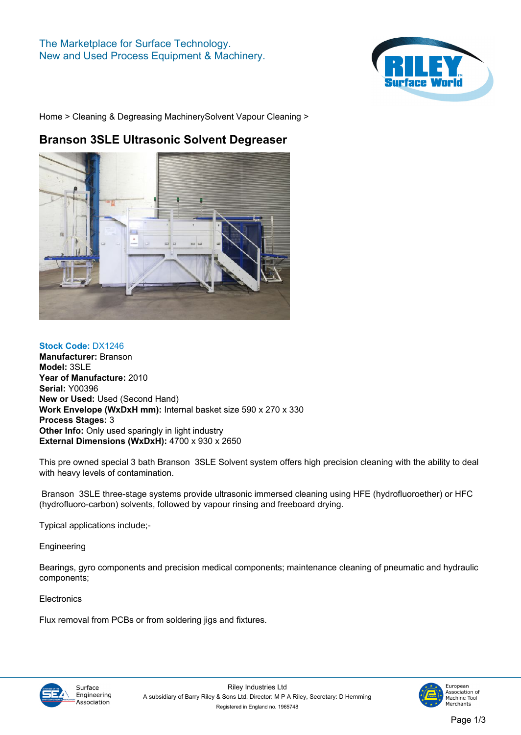## **The Marketplace for Surface Technology. New and Used Process Equipment & Machinery.**



**[Home](https://www.rileysurfaceworld.co.uk) > [Cleaning & Degreasing Machinery](https://www.rileysurfaceworld.co.uk/cleaning_and_degreasing.asp)[Solvent Vapour Cleaning](https://www.rileysurfaceworld.co.uk/cleaning-vapour.asp) >**

## **Branson 3SLE Ultrasonic Solvent Degreaser**



**Stock Code: DX1246 Manufacturer: Branson Model: 3SLE Year of Manufacture: 2010 Serial: Y00396 New or Used: Used (Second Hand) Work Envelope (WxDxH mm): Internal basket size 590 x 270 x 330 Process Stages: 3 Other Info: Only used sparingly in light industry External Dimensions (WxDxH): 4700 x 930 x 2650**

**This pre owned special 3 bath Branson 3SLE Solvent system offers high precision cleaning with the ability to deal with heavy levels of contamination.**

 **Branson 3SLE three-stage systems provide ultrasonic immersed cleaning using HFE (hydrofluoroether) or HFC (hydrofluoro-carbon) solvents, followed by vapour rinsing and freeboard drying.** 

**Typical applications include;-**

**Engineering**

**Bearings, gyro components and precision medical components; maintenance cleaning of pneumatic and hydraulic components;**

**Electronics**

**Flux removal from PCBs or from soldering jigs and fixtures.**



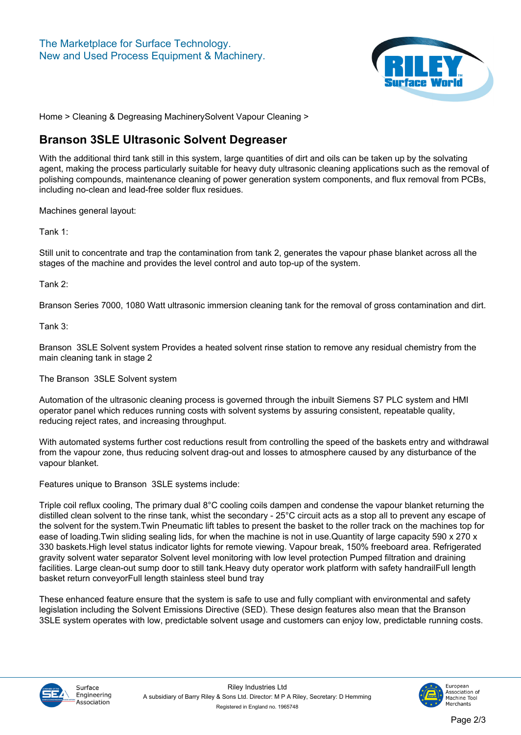

**[Home](https://www.rileysurfaceworld.co.uk) > [Cleaning & Degreasing Machinery](https://www.rileysurfaceworld.co.uk/cleaning_and_degreasing.asp)[Solvent Vapour Cleaning](https://www.rileysurfaceworld.co.uk/cleaning-vapour.asp) >**

## **Branson 3SLE Ultrasonic Solvent Degreaser**

**With the additional third tank still in this system, large quantities of dirt and oils can be taken up by the solvating agent, making the process particularly suitable for heavy duty ultrasonic cleaning applications such as the removal of polishing compounds, maintenance cleaning of power generation system components, and flux removal from PCBs, including no-clean and lead-free solder flux residues.**

**Machines general layout:**

**Tank 1:** 

**Still unit to concentrate and trap the contamination from tank 2, generates the vapour phase blanket across all the stages of the machine and provides the level control and auto top-up of the system.**

**Tank 2:** 

**Branson Series 7000, 1080 Watt ultrasonic immersion cleaning tank for the removal of gross contamination and dirt.**

**Tank 3:**

**Branson 3SLE Solvent system Provides a heated solvent rinse station to remove any residual chemistry from the main cleaning tank in stage 2**

**The Branson 3SLE Solvent system**

**Automation of the ultrasonic cleaning process is governed through the inbuilt Siemens S7 PLC system and HMI operator panel which reduces running costs with solvent systems by assuring consistent, repeatable quality, reducing reject rates, and increasing throughput.** 

**With automated systems further cost reductions result from controlling the speed of the baskets entry and withdrawal from the vapour zone, thus reducing solvent drag-out and losses to atmosphere caused by any disturbance of the vapour blanket.** 

**Features unique to Branson 3SLE systems include:**

**Triple coil reflux cooling, The primary dual 8°C cooling coils dampen and condense the vapour blanket returning the distilled clean solvent to the rinse tank, whist the secondary - 25°C circuit acts as a stop all to prevent any escape of the solvent for the system.Twin Pneumatic lift tables to present the basket to the roller track on the machines top for ease of loading.Twin sliding sealing lids, for when the machine is not in use.Quantity of large capacity 590 x 270 x 330 baskets.High level status indicator lights for remote viewing. Vapour break, 150% freeboard area. Refrigerated gravity solvent water separator Solvent level monitoring with low level protection Pumped filtration and draining facilities. Large clean-out sump door to still tank.Heavy duty operator work platform with safety handrailFull length basket return conveyorFull length stainless steel bund tray**

**These enhanced feature ensure that the system is safe to use and fully compliant with environmental and safety legislation including the Solvent Emissions Directive (SED). These design features also mean that the Branson 3SLE system operates with low, predictable solvent usage and customers can enjoy low, predictable running costs.**